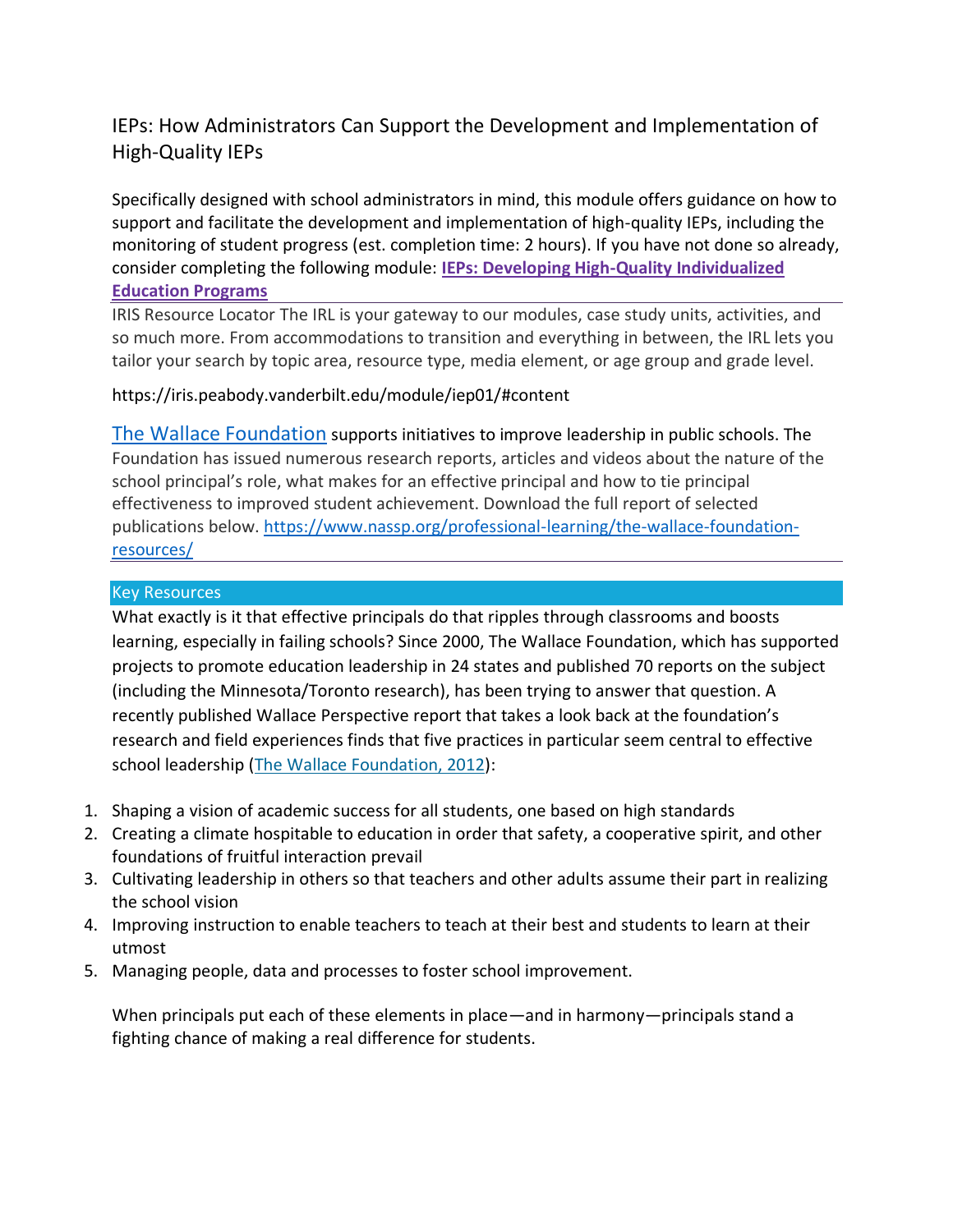# IEPs: How Administrators Can Support the Development and Implementation of High-Quality IEPs

Specifically designed with school administrators in mind, this module offers guidance on how to support and facilitate the development and implementation of high-quality IEPs, including the monitoring of student progress (est. completion time: 2 hours). If you have not done so already, consider completing the following module: **[IEPs: Developing High-Quality Individualized](https://iris.peabody.vanderbilt.edu/module/iep01/#content)  [Education Programs](https://iris.peabody.vanderbilt.edu/module/iep01/#content)**

IRIS Resource Locator The IRL is your gateway to our modules, case study units, activities, and so much more. From accommodations to transition and everything in between, the IRL lets you tailor your search by topic area, resource type, media element, or age group and grade level.

# https://iris.peabody.vanderbilt.edu/module/iep01/#content

[The Wallace Foundation](https://www.wallacefoundation.org/) supports initiatives to improve leadership in public schools. The Foundation has issued numerous research reports, articles and videos about the nature of the school principal's role, what makes for an effective principal and how to tie principal effectiveness to improved student achievement. Download the full report of selected publications below. [https://www.nassp.org/professional-learning/the-wallace-foundation](https://www.nassp.org/professional-learning/the-wallace-foundation-resources/)[resources/](https://www.nassp.org/professional-learning/the-wallace-foundation-resources/)

# Key Resources

What exactly is it that effective principals do that ripples through classrooms and boosts learning, especially in failing schools? Since 2000, The Wallace Foundation, which has supported projects to promote education leadership in 24 states and published 70 reports on the subject (including the Minnesota/Toronto research), has been trying to answer that question. A recently published Wallace Perspective report that takes a look back at the foundation's research and field experiences finds that five practices in particular seem central to effective school leadership [\(The Wallace Foundation, 2012\)](https://www.wallacefoundation.org/knowledge-center/Documents/The-Effective-Principal.pdf):

- 1. Shaping a vision of academic success for all students, one based on high standards
- 2. Creating a climate hospitable to education in order that safety, a cooperative spirit, and other foundations of fruitful interaction prevail
- 3. Cultivating leadership in others so that teachers and other adults assume their part in realizing the school vision
- 4. Improving instruction to enable teachers to teach at their best and students to learn at their utmost
- 5. Managing people, data and processes to foster school improvement.

When principals put each of these elements in place—and in harmony—principals stand a fighting chance of making a real difference for students.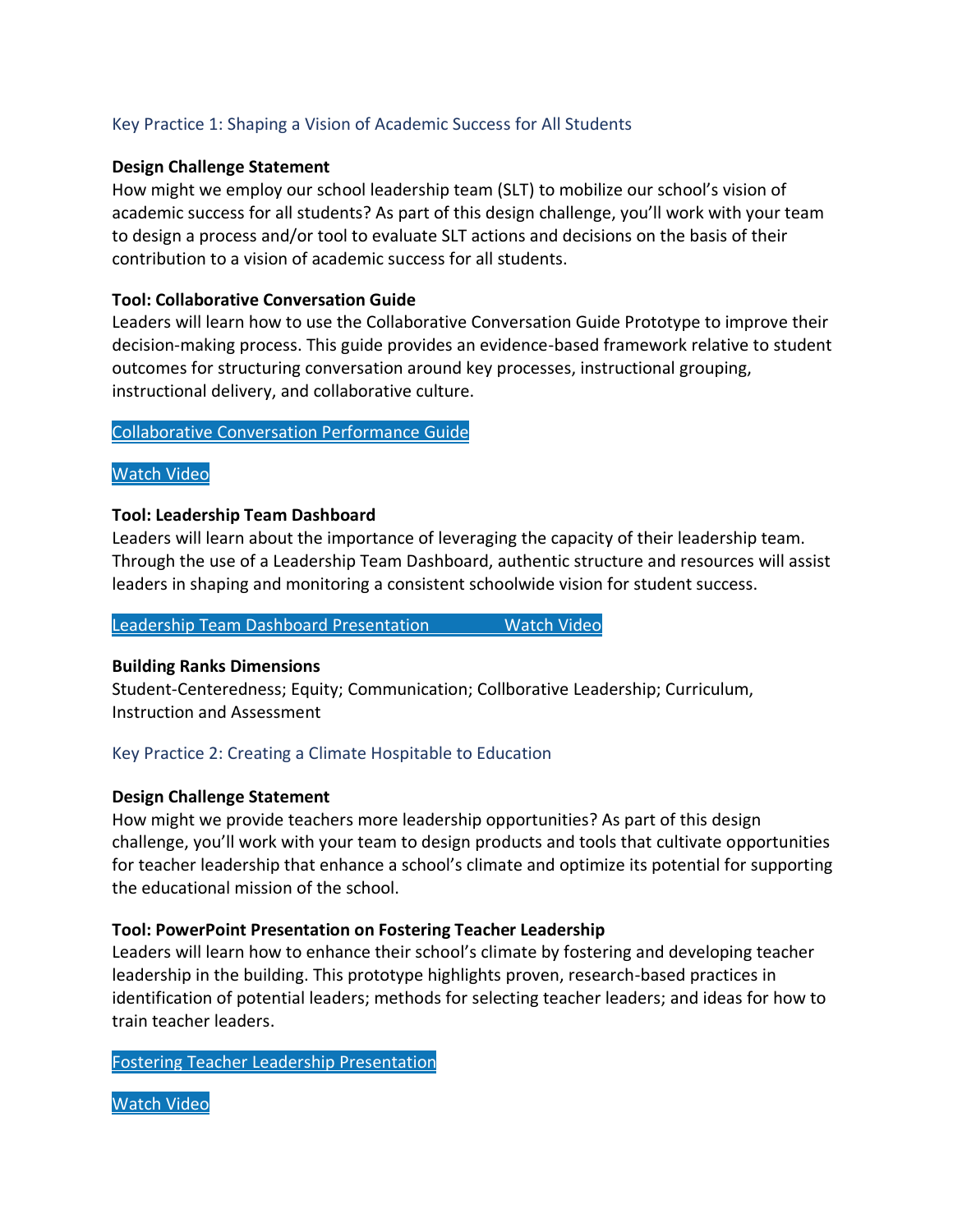# Key Practice 1: Shaping a Vision of Academic Success for All Students

# **Design Challenge Statement**

How might we employ our school leadership team (SLT) to mobilize our school's vision of academic success for all students? As part of this design challenge, you'll work with your team to design a process and/or tool to evaluate SLT actions and decisions on the basis of their contribution to a vision of academic success for all students.

# **Tool: Collaborative Conversation Guide**

Leaders will learn how to use the Collaborative Conversation Guide Prototype to improve their decision-making process. This guide provides an evidence-based framework relative to student outcomes for structuring conversation around key processes, instructional grouping, instructional delivery, and collaborative culture.

#### [Collaborative](https://drive.google.com/file/d/0B2pV5JJighncbUpCc2NQV3Fxd0U/view) Conversation Performance Guide

### [Watch](https://www.youtube.com/watch?v=MbfFG-7Y3Yc&feature=youtu.be) Video

#### **Tool: Leadership Team Dashboard**

Leaders will learn about the importance of leveraging the capacity of their leadership team. Through the use of a Leadership Team Dashboard, authentic structure and resources will assist leaders in shaping and monitoring a consistent schoolwide vision for student success.

#### Leadership Team Dashboard [Presentation](https://drive.google.com/file/d/0B2pV5JJighncQnBRdUFCYmFiejQ/view) [Watch](https://www.youtube.com/watch?v=--nLBeMeqnQ&feature=youtu.be) Video

#### **Building Ranks Dimensions**

Student-Centeredness; Equity; Communication; Collborative Leadership; Curriculum, Instruction and Assessment

# Key Practice 2: Creating a Climate Hospitable to Education

#### **Design Challenge Statement**

How might we provide teachers more leadership opportunities? As part of this design challenge, you'll work with your team to design products and tools that cultivate opportunities for teacher leadership that enhance a school's climate and optimize its potential for supporting the educational mission of the school.

#### **Tool: PowerPoint Presentation on Fostering Teacher Leadership**

Leaders will learn how to enhance their school's climate by fostering and developing teacher leadership in the building. This prototype highlights proven, research-based practices in identification of potential leaders; methods for selecting teacher leaders; and ideas for how to train teacher leaders.

Fostering Teacher Leadership [Presentation](https://drive.google.com/file/d/0B2pV5JJighncTUxEUmdnMFpoNms/view)

[Watch](https://www.youtube.com/watch?v=oN1tm7kKmAk&feature=youtu.be) Video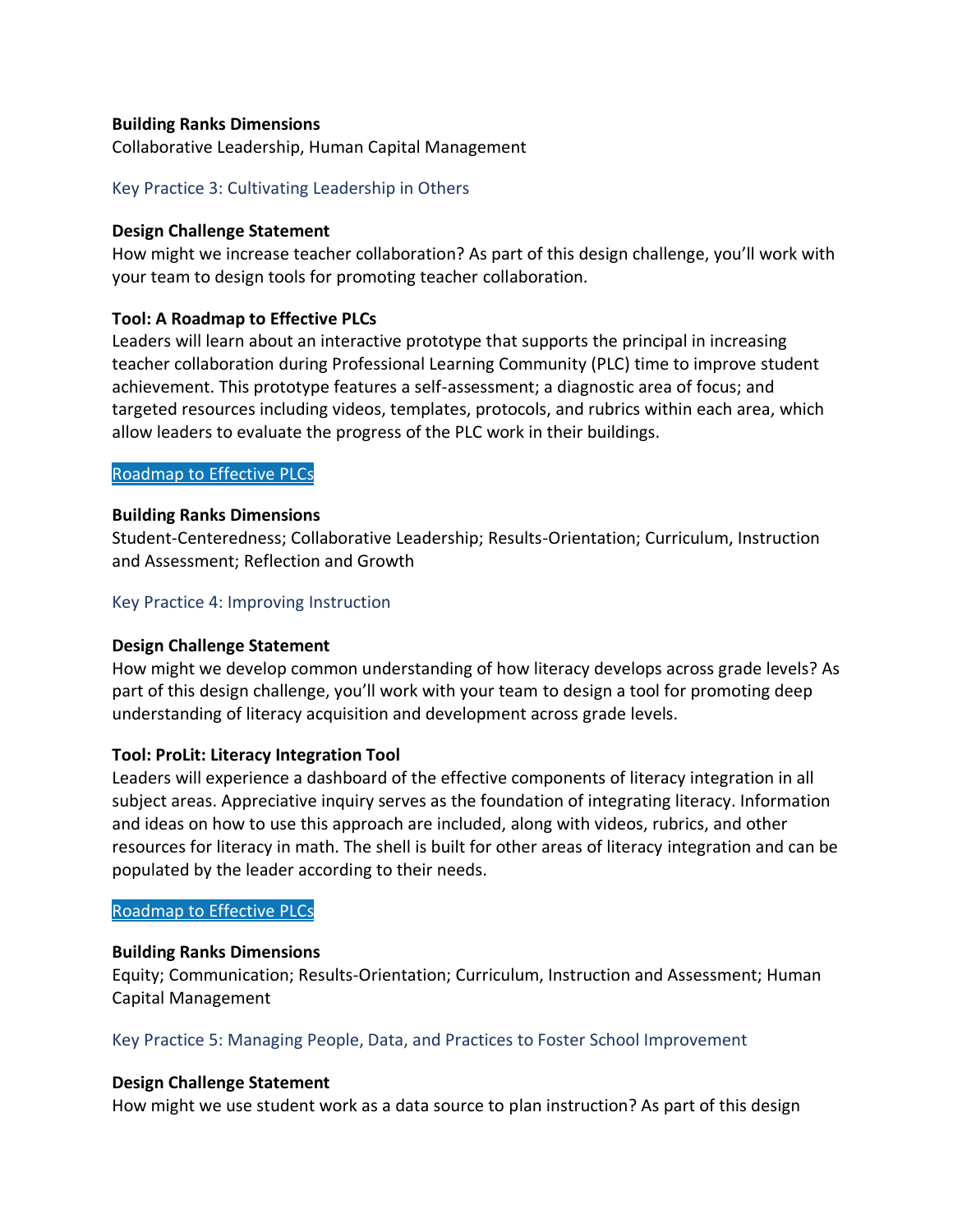# **Building Ranks Dimensions**

Collaborative Leadership, Human Capital Management

# Key Practice 3: Cultivating Leadership in Others

#### **Design Challenge Statement**

How might we increase teacher collaboration? As part of this design challenge, you'll work with your team to design tools for promoting teacher collaboration.

### **Tool: A Roadmap to Effective PLCs**

Leaders will learn about an interactive prototype that supports the principal in increasing teacher collaboration during Professional Learning Community (PLC) time to improve student achievement. This prototype features a self-assessment; a diagnostic area of focus; and targeted resources including videos, templates, protocols, and rubrics within each area, which allow leaders to evaluate the progress of the PLC work in their buildings.

### [Roadmap](https://www.nassp.org/wordpress/wp-content/uploads/2019/06/Roadmap_to_Effective_PLCs_2017-06-27.pptx) to Effective PLCs

#### **Building Ranks Dimensions**

Student-Centeredness; Collaborative Leadership; Results-Orientation; Curriculum, Instruction and Assessment; Reflection and Growth

### Key Practice 4: Improving Instruction

# **Design Challenge Statement**

How might we develop common understanding of how literacy develops across grade levels? As part of this design challenge, you'll work with your team to design a tool for promoting deep understanding of literacy acquisition and development across grade levels.

#### **Tool: ProLit: Literacy Integration Tool**

Leaders will experience a dashboard of the effective components of literacy integration in all subject areas. Appreciative inquiry serves as the foundation of integrating literacy. Information and ideas on how to use this approach are included, along with videos, rubrics, and other resources for literacy in math. The shell is built for other areas of literacy integration and can be populated by the leader according to their needs.

#### [Roadmap](https://www.nassp.org/wordpress/wp-content/uploads/2019/06/Roadmap_to_Effective_PLCs_2017-06-27.pptx) to Effective PLCs

#### **Building Ranks Dimensions**

Equity; Communication; Results-Orientation; Curriculum, Instruction and Assessment; Human Capital Management

# Key Practice 5: Managing People, Data, and Practices to Foster School Improvement

#### **Design Challenge Statement**

How might we use student work as a data source to plan instruction? As part of this design